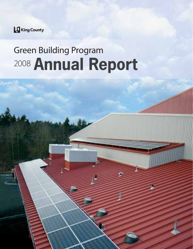

# Green Building Program 2008 Annual Report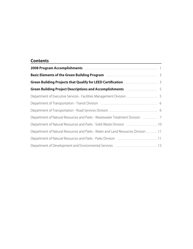# **Contents**

| Green Building Project Descriptions and Accomplishments <b>Constanting Marita Building Project Descriptions and Accomplishments</b> |
|-------------------------------------------------------------------------------------------------------------------------------------|
|                                                                                                                                     |
|                                                                                                                                     |
|                                                                                                                                     |
| Department of Natural Resources and Parks - Wastewater Treatment Division  7                                                        |
| Department of Natural Resources and Parks - Solid Waste Division  10                                                                |
| Department of Natural Resources and Parks - Water and Land Resources Division  11                                                   |
| Department of Natural Resources and Parks - Parks Division  11                                                                      |
| Department of Development and Environmental Services  13                                                                            |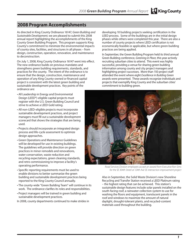# **2008 Program Accomplishments**

As directed in King County Ordinance 16147, Green Building and Sustainable Development, we are pleased to submit this 2008 annual report highlighting the accomplishments of the King County Green Building Program. This program supports King County's commitment to minimize the environmental impacts of county sites, facilities, and structures in all phases – from design, construction, operation, renovation, and maintenance to deconstruction.

On July 1, 2008, King County Ordinance 16147 went into effect. The new ordinance builds on previous mandates and strengthens green building requirements, standards, and practices for the county. The intent of the ordinance is to ensure that the design, construction, maintenance and operation of any King County-owned or financed capital project is consistent with the latest green building and sustainable development practices. Key points of the ordinance are:

- All Leadership in Energy and Environmental Design (LEED®)-eligible capital projects must register with the U.S. Green Building Council and strive to achieve a LEED Gold rating.
- All non-LEED-eligible projects must incorporate sustainable development practices, and project managers must fill out a sustainable development scorecard that shows the strategies that are being used.
- Projects should incorporate an integrated design process and life-cycle assessment to optimize design approaches.
- Green Operations and Maintenance Guidelines will be developed for use in existing buildings. The guidelines will provide direction on green practices in minor remodels and renovations, water conservation, waste reduction and recycling expectations, green cleaning standards, and retro commissioning to improve a facility's operating performance.
- Specific reporting requirements must be used to enable divisions to better summarize the green building and sustainable development practices being reported to the King County Council annually.
- The county-wide "Green Building Team" will continue in its work. The ordinance clarifies its roles and responsibilities.
- Project managers will be trained in green building and sustainable development practices.
- In 2008, county departments continued to make strides in

developing 10 building projects seeking certification in the LEED process. Some of the buildings are in the initial design phases while others were completed this year. There are also a number of county projects where LEED certification is not economically feasible or applicable, but where green building practices are being applied.

In September, the Green Building Program held its third annual Green Building conference, Greening in Place, this year actively recruiting suburban cities to attend. This event was highly successful, providing a venue for sharing green building information among county and city project managers and highlighting project successes. More than 150 project staff attended the event where eight Excellence in Building Green awards were presented. These awards recognize individuals and projects that exemplify King County and the suburban cities' commitment to building green.



Road Services Division employees accept an award from Executive Ron Sims for the SE 304th Street at 124th Ave SE intersection improvement project

Also in September, the Solid Waste Division's new Shoreline Recycling and Transfer Station received a LEED Platinum rating – the highest rating that can be achieved. This station's sustainable design features include solar panels installed on the south-facing roof, a rainwater collection system to use for washing the floors and equipment, translucent panels in the roof and windows to maximize the amount of natural daylight, drought-tolerant plants, and recycled-content materials used throughout the building.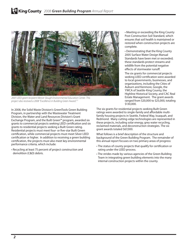

2007 LEED grant recipient Mercer Slough Environmental Education Center. This project also received a 2008 "Excellence in Building Green Award."."

In 2008, the Solid Waste Division's GreenTools Green Building Program, in partnership with the Wastewater Treatment Division, the Water and Land Resources Division's Grant Exchange Program, and the Built Green™ program, awarded six grants to commercial projects seeking LEED certification and six grants to residential projects seeking a Built Green rating. Residential projects must meet four- or five-star Built Green certification, while commercial projects must meet Silver LEED certification or higher. In addition to receiving a green building certification, the projects must also meet key environmental performance criteria, which include:

• Recycling at least 75 percent of project construction and demolition (C&D) debris.

• Meeting or exceeding the King County Post-Construction Soil Standard, which ensures that soil health is maintained or restored when construction projects are complete.

• Demonstrating that the King County 2005 Surface Water Design Manual Standards have been met or exceeded; these standards protect streams and wildlife from the potential negative effects of stormwater runoff.

The six grants for commercial projects seeking LEED certification were awarded to local governments, businesses, and organizations, including the Cities of Auburn and Kenmore, Google, the YWCA of Seattle-King County, the Highline Historical Society, and CAC Real Estate Management. The grant awards ranged from \$20,000 to \$25,000, totaling \$130,000.

The six grants for residential projects seeking Built Green ratings were awarded to single-family and affordable multifamily housing projects in Seattle, Federal Way, Issaquah, and Redmond. Many cutting-edge technologies are represented in these projects, including solar energy, grey water recycling, reclaimed materials, and deconstruction strategies. The six grant awards totaled \$67,000.

What follows is a brief description of the structure and background of the Green Building Program. The remainder of this annual report focuses on two primary areas of progress:

- The status of county projects that qualify for certification or rating under the LEED process.
- The strides made by various agencies of the Green Building Team in integrating green building elements into the many internal construction projects within the county.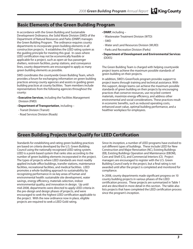# **Basic Elements of the Green Building Program**

In accordance with the Green Building and Sustainable Development Ordinance, the Solid Waste Division (SWD) of the Department of Natural Resources and Parks (DNRP) manages the Green Building Program. The ordinance requires county departments to incorporate green building elements in all construction projects. It establishes the LEED rating system as the guiding principle for meeting this goal. In cases where LEED certification may not be economically feasible or applicable for a project, such as open-air bus passenger shelters, restroom facilities, pump stations, and conveyance lines, county departments are encouraged to apply as many green building elements as possible.

SWD coordinates the countywide Green Building Team, which provides a forum for exchanging information on green building practices among county agencies and assists in guiding green building practices at county facilities. Team members include representatives from the following agencies throughout the county:

- **Executive Services**, including the Facilities Management Division (FMD)
- **Department of Transportation**, including –
- Transit Division (Transit)
- Road Services Division (Roads)
- **DNRP**, including –
- Wastewater Treatment Division (WTD)
- SWD
- Water and Land Resources Division (WLRD)
- Parks and Recreation Division (Parks)
- **Department of Development and Environmental Services** (DDES)

The Green Building Team is charged with helping countywide project teams achieve the maximum possible standards of green building on their projects.

In addition, SWD's GreenTools program provides support to project teams through training and technical assistance. With this support, design teams can achieve the maximum possible standards of green building on their projects by encouraging practices that conserve resources, use recycled-content materials, maximize energy efficiency, and address other environmental and social considerations. These practices result in economic benefits, such as reduced operating costs, enhanced asset value, optimal building performance, and a healthier workplace for employees.

# **Green Building Projects that Qualify for LEED Certification**

Standards for establishing and rating green building practices are based on criteria developed by the U.S. Green Building Council using the nationally recognized LEED rating system. LEED is a point-based system that ranks sites according to the number of green building elements incorporated in the project. The types of projects where LEED standards are most readily applied include office buildings, transfer stations, maintenance facilities, recreational facilities, and medical facilities. LEED promotes a whole-building approach to sustainability by recognizing performance in six key areas of human and environmental health: sustainable site development, water savings, energy efficiency, materials selection, indoor environmental quality, and innovation in design. Up until mid-2008, departments were directed to apply LEED criteria in the pre-design and design phases of projects, and were encouraged to seek the highest LEED certification applicable to the project. With the new ordinance now in place, eligible projects are required to seek a LEED Gold rating.

Since its inception, a number of LEED programs have evolved to suit different types of buildings. These include LEED for New Construction and Major Renovation (NC), Existing Buildings (EB), Existing Buildings Operation and Maintenance (EBOM), Core and Shell (CS), and Commercial Interiors (CI). Project managers are encouraged to register with the U.S. Green Building Council early in the project, but a final rating is not awarded until after the project is completed and monitored for compliance.

In 2008, county departments made significant progress on 10 county building projects in various phases of the LEED certification process. These projects are summarized in Table 1 and are described in more detail in this section. The table also lists projects that have completed the LEED certification process since the program's inception.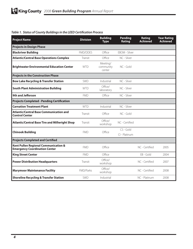| <b>Project Name</b>                                                          | <b>Division</b> | <b>Building</b><br><b>Type</b>  | Pending<br>Rating          | Rating<br><b>Achieved</b> | <b>Year Rating</b><br><b>Achieved</b> |
|------------------------------------------------------------------------------|-----------------|---------------------------------|----------------------------|---------------------------|---------------------------------------|
| <b>Projects in Design Phase</b>                                              |                 |                                 |                            |                           |                                       |
| <b>Blackriver Building</b>                                                   | <b>FMD/DDES</b> | Office                          | FROM - Silver              |                           |                                       |
| <b>Atlantic/Central Base Operations Complex</b>                              | Transit         | Office                          | NC - Silver                |                           |                                       |
| <b>Brightwater Environmental Education Center</b>                            | <b>WTD</b>      | Meeting/<br>community<br>center | NC - Gold                  |                           |                                       |
| <b>Projects in the Construction Phase</b>                                    |                 |                                 |                            |                           |                                       |
| <b>Bow Lake Recycling &amp; Transfer Station</b>                             | SWD             | Industrial                      | NC - Silver                |                           |                                       |
| <b>South Plant Administration Building</b>                                   | <b>WTD</b>      | Office/<br>laboratory           | NC - Silver                |                           |                                       |
| <b>9th and Jefferson</b>                                                     | <b>FMD</b>      | Office                          | NC - Silver                |                           |                                       |
| <b>Projects Completed - Pending Certification</b>                            |                 |                                 |                            |                           |                                       |
| <b>Carnation Treatment Plant</b>                                             | <b>WTD</b>      | Industrial                      | NC - Silver                |                           |                                       |
| <b>Atlantic/Central Base Communication and</b><br><b>Control Center</b>      | Transit         | Office                          | NC - Gold                  |                           |                                       |
| <b>Atlantic/Central Base Tire and Millwright Shop</b>                        | Transit         | Office/<br>workshop             | NC - Certified             |                           |                                       |
| <b>Chinook Building</b>                                                      | <b>FMD</b>      | Office                          | CS - Gold<br>CI - Platinum |                           |                                       |
| <b>Projects Completed and Certified</b>                                      |                 |                                 |                            |                           |                                       |
| Kent Pullen Regional Communication &<br><b>Emergency Coordination Center</b> | <b>FMD</b>      | Office                          |                            | NC - Certified            | 2005                                  |
| <b>King Street Center</b>                                                    | <b>FMD</b>      | Office                          |                            | EB - Gold                 | 2004                                  |
| <b>Power Distribution Headquarters</b>                                       | <b>Transit</b>  | Office/<br>workshop             |                            | NC - Certified            | 2007                                  |
| <b>Marymoor Maintenance Facility</b>                                         | FMD/Parks       | Office/<br>workshop             |                            | NC - Certified            | 2008                                  |
| <b>Shoreline Recycling &amp; Transfer Station</b>                            | SWD             | Industrial                      |                            | NC - Platinum             | 2008                                  |

#### **Table 1. Status of County Buildings in the LEED Certification Process**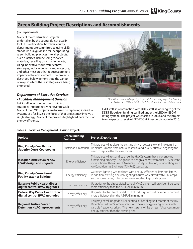## **Green Building Project Descriptions and Accomplishments**

#### (by Department)

Many of the construction projects undertaken by the county do not qualify for LEED certification; however, county departments are committed to using LEED standards as a guideline for incorporating green building practices into all projects. Such practices include using recycled materials, recycling construction waste, using innovative stormwater control strategies, reducing energy and water use, and other measures that reduce a project's impact on the environment. The projects described below demonstrate the variety of ways in which these strategies are being employed.

#### *Department of Executive Services - Facilities Management Division*

FMD staff incorporates green building

strategies into projects whenever possible.

Many of the FMD projects are focused on replacing individual systems of a facility, so the focus of that project may involve a single strategy. Many of the projects highlighted here focus on energy efficiency.

#### **Table 2. Facilities Management Division Projects**



DDES Blackriver building entry. Project staff is working to get this building certified under LEED for Existing Building: Operations and Maintenance.

FMD staff, in coordination with DDES staff, is working to get the DDES Blackriver Building certified under the LEED for EBOM rating system. The project was started in 2008, and the project team expects to receive LEED EBOM Silver certification in 2010.

| Project                                                                  | <b>Green Building</b><br><b>Features</b> | <b>Project Description</b>                                                                                                                                                                                                                                                               |
|--------------------------------------------------------------------------|------------------------------------------|------------------------------------------------------------------------------------------------------------------------------------------------------------------------------------------------------------------------------------------------------------------------------------------|
| <b>King County Courthouse</b><br><b>Superior Court Courtrooms</b>        | Sustainable materials                    | This project will replace the existing vinyl asbestos tile with linoleum tile.<br>Linoleum is made from natural materials and is very durable, negating the<br>need to replace the tile every 5 years.                                                                                   |
| <b>Issaquah District Court new</b><br><b>HVAC design and upgrade</b>     | Energy efficiency                        | This project will test and balance the HVAC system that is currently not<br>functioning properly. The goal is to design a new system that is 15 percent<br>more efficient than current American Society of Heating, Refrigerating, and<br>Air-Conditioning Engineers (ASHRAE) standards. |
| <b>King County Correctional</b><br><b>Facility exterior lighting</b>     | Energy efficiency                        | Outdated lighting was replaced with energy-efficient ballasts and lamps.<br>In addition, existing sidewalk lighting fixtures were fitted with LED lamps<br>and, in some cases, solar panels were installed to provide power.                                                             |
| <b>Eastgate Public Health direct</b><br>digital control HVAC upgrades    | Energy efficiency                        | Upgrades to the direct digital control HVAC system will provide 15 percent<br>more efficiency than the ASHRAE minimum.                                                                                                                                                                   |
| <b>Federal Way Public Health direct</b><br>digital control HVAC upgrades | Energy efficiency                        | Upgrades to the direct digital control HVAC system will provide 15 percent<br>more efficiency than the ASHRAE minimum.                                                                                                                                                                   |
| <b>Regional Justice Center</b><br><b>Detention HVAC improvements</b>     | Energy efficiency                        | This project will upgrade all 24 existing air handling unit motors at the RJC<br>Detention Building's inmate areas, with new, energy-saving motors with<br>variable frequency drives. The new system will be at least 15 percent more<br>energy efficient than the existing one.         |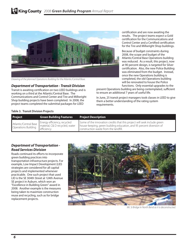

Drawing of the planned Operations Building for the Atlantic/Central Base.

#### *Department of Transportation - Transit Division*

Transit is awaiting certification on two LEED buildings and is working on a third at the Atlantic/Central Base. The Communications and Control Center and Tire and Millwright Shop building projects have been completed. In 2008, the project teams completed the submittal packages for LEED

certification and are now awaiting the results. The project teams expect a Gold certification for the Communications and Control Center and a Certified certification for the Tire and Millwright Shop buildings.

Because of budget constraints during 2008, the scope and budget of the Atlantic/Central Base Operations building was reduced. As a result, this project, now at 90 percent design, is targeted for Silver certification. Also, the new Police Building was eliminated from the budget. Instead, once the new Operations building is completed, the old Operations building will be renovated to house the Police functions. Only essential upgrades to the

present Operations building are being contemplated, sufficient to ensure an additional 7 years of useful life.

In June, 25 transit project managers took classes in LEED to give them a better understanding of the rating system requirements.

#### **Table 3. Transit Division Projects**

| Project                                             | <b>Green Building Features</b>                                              | <b>Project Description</b>                                                                                                                                                                |
|-----------------------------------------------------|-----------------------------------------------------------------------------|-------------------------------------------------------------------------------------------------------------------------------------------------------------------------------------------|
| Atlantic/Central Base<br><b>Operations Building</b> | Energy efficiency, recycled<br>material, C& D recycled, water<br>efficiency | Some of the innovation credits that this project will seek include green<br>house-keeping, green building education, and 95 percent diversion of<br>construction waste from the landfill. |

#### *Department of Transportation - Road Services Division*

Roads continued its efforts to incorporate green building practices into transportation infrastructure projects. For example, Low Impact Development (LID) strategies are considered for all capital projects and implemented whenever practicable. One such project that used LID is the SE 304th Street at 124th Avenue SE project in Auburn, which won an "Excellence in Building Green" award in 2008. Another example is the measures being taken to maximize construction reuse and recycling, such as for bridge replacement projects.



Mt. Si Bridge in North Bend as it is deconstructed.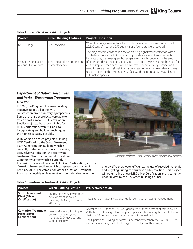**Table 4. Roads Services Division Projects**

| <b>Project</b>      | <b>Green Building Features</b> | <b>Project Description</b>                                                                                                                                                                                                                                                                                                                                                                                                                                                                                                                                                                                                                     |
|---------------------|--------------------------------|------------------------------------------------------------------------------------------------------------------------------------------------------------------------------------------------------------------------------------------------------------------------------------------------------------------------------------------------------------------------------------------------------------------------------------------------------------------------------------------------------------------------------------------------------------------------------------------------------------------------------------------------|
| Mt. Si Bridge       | C&D recycled                   | When the bridge was replaced, as much material as possible was recycled.<br>22,500 tons of steel and 250 cubic yards of concrete were recycled.                                                                                                                                                                                                                                                                                                                                                                                                                                                                                                |
| Avenue SE in Auburn | water efficiency               | The project team chose to replace an existing signalized intersection with a<br>single-lane roundabout. Roundabouts provide a variety of environmental<br>benefits: they decrease greenhouse gas emissions by decreasing the amount<br>SE 304th Street at 124th Low impact development and of time cars idle at the intersection, decrease noise by eliminating the need for<br>cars to stop and then accelerate, and decrease energy use by eliminating the<br>need for an electronic signal. Porous concrete cement for new sidewalks was<br>used to minimize the impervious surfaces and the roundabout was planted<br>with native species. |

#### *Department of Natural Resources and Parks - Wastewater Treatment Division*

In 2008, the King County Green Building Initiative guided all of the WTD construction projects in varying capacities. Some of the larger projects were able to attain or will aim for LEED Certification. Smaller projects, that aren't eligible for LEED Certification, were still able to incorporate green building techniques in the highest capacity possible.

WTD worked on three projects pursuing LEED Certification: the South Treatment Plant Administration Building which is currently under construction and pursuing LEED Silver Certification, the Brightwater Treatment Plant Environmental Education/ Community Center which is currently in

the design phase and pursuing LEED Gold Certification, and the Carnation Treatment Plant which completed construction in February 2008. The completion of the Carnation Treatment Plant was a notable achievement with considerable savings in

Carnation Treatment Plant Operations and Maintenance building.

energy efficiency, water efficiency, the use of recycled materials, and recycling during construction and demolition. This project will potentially achieve LEED Silver Certification and is currently under review by the U.S. Green Building Council.

| Project                                                                   | <b>Green Building Feature</b>                                                                              | <b>Project Description</b>                                                                                                                                                                                                                                                                                                                                                     |
|---------------------------------------------------------------------------|------------------------------------------------------------------------------------------------------------|--------------------------------------------------------------------------------------------------------------------------------------------------------------------------------------------------------------------------------------------------------------------------------------------------------------------------------------------------------------------------------|
| South Treatment<br>  Plant (Silver<br>Certification)                      | Energy efficiency, low impact<br>development, recycled<br>material, C&D recycled, water<br>efficiency      | 142.98 tons of material was diverted for construction waste management.                                                                                                                                                                                                                                                                                                        |
| l Carnation Treatment  <br><b>Plant (Silver</b><br><b>Certification</b> ) | Energy efficiency, low impact<br>development, recycled<br>material, C&D recycled, and<br>water efficiency. | A total of 479.31 tons of C&D was generated with 97 percent of that recycled.<br>With the use of drought-tolerant plant species, efficient irrigation, and planting<br>design, a 62 percent water use reduction will be realized.<br>The Operations Building performs 33 percent better than ASHRAE 90.1 - 1999<br>requirements using the LEED Energy Cost Budget methodology. |

**Table 5. Wastewater Treatment Division Projects**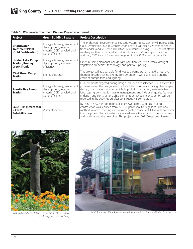#### **Table 5. Wastewater Treatment Division Projects Continued**

| Project                                                                | <b>Green Building Feature</b>                                                                              | <b>Project Description</b>                                                                                                                                                                                                                                                                                                                                                                                                                                               |
|------------------------------------------------------------------------|------------------------------------------------------------------------------------------------------------|--------------------------------------------------------------------------------------------------------------------------------------------------------------------------------------------------------------------------------------------------------------------------------------------------------------------------------------------------------------------------------------------------------------------------------------------------------------------------|
| <b>Brightwater</b><br><b>Treatment Plant</b><br>(Gold Certification)   | Energy efficiency, low impact<br>development, recycled<br>material, C&D recycled, and<br>water efficiency. | The Brightwater Environmental Education/Community Center will pursue LEED<br>Gold Certification. In 2008, construction activities diverted 725 tons of debris<br>from landfills and reused 280,000 tons of material, keeping 28,000 trucks off the<br>roadways with an estimated round trip distance of 25 miles per truck. In<br>addition, 7,700 tons of fly ash was recycled in the 2008 construction efforts.                                                         |
| <b>Hidden Lake Pump</b><br><b>Station/Boeing</b><br><b>Creek Trunk</b> | Energy efficiency, low impact<br>development, and water<br>efficiency.                                     | Green building elements include light pollution reduction, native drought<br>vegetation, trenchless technology, and pervious paving.                                                                                                                                                                                                                                                                                                                                     |
| <b>53rd Street Pump</b><br><b>Station</b>                              | Energy efficiency                                                                                          | This project will add variable fan drives to a pump station that did not have<br>them before, decreasing energy consumption. It will also provide energy-<br>efficient pumps, fans, and lighting.                                                                                                                                                                                                                                                                        |
| <b>Juanita Bay Pump</b><br><b>Station</b>                              | Energy efficiency, low impact<br>development, recycled<br>material, C&D recycled, and<br>water efficiency. | LEED elements targeted during design included site selection, LEED-accredited<br>professional on the design team, reduced site disturbance through landscaping<br>design, stormwater management, light pollution reduction, water-efficient<br>landscaping, construction waste management, and indoor air quality features<br>in design and construction. LEED elements achieved in construction will be<br>reported in the 2009 report after construction is completed. |
| Lake Hills Interceptor<br><b>&amp; EBI2</b><br><b>Rehabilitation</b>   | Water efficiency                                                                                           | By using a new method to rehabilitate sewer pipes, water use during<br>construction was reduced from 771,000 gallons to 3,800 gallons. The new<br>method involves inserting a resin-impregnated fabric sock filled with hot water<br>into the pipes. The hot water is circulated inside the sock until the sock cures<br>and hardens into the new pipe. This project saved 767,200 gallons of water.                                                                     |



Hidden Lake Pump Station Replacement – Odor Control<br>Stack Disguised as a Tree Snag



South Treatment Plant Administration Building – Front Entrance During Construction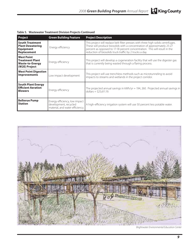|  | Table 5. Wastewater Treatment Division Projects Continued |  |  |  |  |
|--|-----------------------------------------------------------|--|--|--|--|
|--|-----------------------------------------------------------|--|--|--|--|

| Project                                                                                | <b>Green Building Feature</b>                                                             | <b>Project Description</b>                                                                                                                                                                                                                                                                             |
|----------------------------------------------------------------------------------------|-------------------------------------------------------------------------------------------|--------------------------------------------------------------------------------------------------------------------------------------------------------------------------------------------------------------------------------------------------------------------------------------------------------|
| l South Treatment<br><b>Plant Dewatering</b><br><b>Equipment</b><br><b>Replacement</b> | Energy efficiency                                                                         | This project will replace belt filter presses with three high solids centrifuges.<br>These will produce biosolids with a concentration of approximately 25-27<br>percent as opposed to 17-18 percent concentration. This will result in the<br>reduction of biosolids truck traffic by 2 trucks a day. |
| West Point<br><b>Treatment Plant</b><br><b>Waste-to-Energy</b><br>(W2E) Project        | Energy efficiency                                                                         | This project will develop a cogeneration facility that will use the digester gas<br>that is currently being wasted through a flaring process.                                                                                                                                                          |
| <b>West Point Digestion</b><br><b>Improvements</b>                                     | Low impact development                                                                    | This project will use trenchless methods such as microtunneling to avoid<br>impacts to streams and wetlands in the project corridor.                                                                                                                                                                   |
| <b>South Plant Energy</b><br><b>Efficient Aeration</b><br><b>Blowers</b>               | Energy efficiency                                                                         | The projected annual savings in kWh/yr = 194, 260. Projected annual savings in<br>dollars = $$25,611.19$ .                                                                                                                                                                                             |
| <b>Bellevue Pump</b><br><b>Station</b>                                                 | Energy efficiency, low impact<br>development, recycled<br>material, and water efficiency. | A high-efficiency irrigation system will use 50 percent less potable water.                                                                                                                                                                                                                            |



Brightwater Environmental Education Center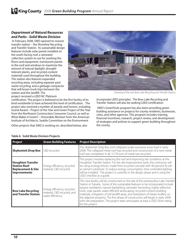#### *Department of Natural Resources and Parks - Solid Waste Division*

In February 2008, SWD opened its newest transfer station – the Shoreline Recycling and Transfer Station. Its sustainable design features include solar panels installed on the south-facing roof, a rainwater collection system to use for washing the floors and equipment, translucent panels in the roof and windows to maximize the amount of natural daylight, droughttolerant plants, and recycled-content materials used throughout the building. The station also features expanded recycling areas, including separate yard waste recycling, and a garbage compactor that will lessen truck trips between the station and the landfill. The project received a LEED NC Platinum



Drawing of the new Bow Lake Recycling and Transfer Station.

certification. The project is believed to be the first facility of its kind worldwide to have achieved this level of certification. The project also received a number of awards and honors, including Grand Award – Project of the Year and Green Project of the Year from the Northwest Construction Consumer Council, as well as What Makes It Green? – Honorable Mention from the American Institute of Architects, Seattle Committee on the Environment.

Other projects that SWD is working on, described below, also

incorporate LEED principles. The Bow Lake Recycling and Transfer Station will also be seeking LEED certification.

 SWD's GreenTools program has also been providing green building assistance on projects for county residents, businesses, cities, and other agencies. This program includes training, financial incentives, research, project review, and development of strategies and policies to support green building throughout the county.

| <b>Project</b>                                                                                          | <b>Green Building Features</b>                                                  | <b>Project Description</b>                                                                                                                                                                                                                                                                                                                                                                                                                                                                                                                                                                                                   |
|---------------------------------------------------------------------------------------------------------|---------------------------------------------------------------------------------|------------------------------------------------------------------------------------------------------------------------------------------------------------------------------------------------------------------------------------------------------------------------------------------------------------------------------------------------------------------------------------------------------------------------------------------------------------------------------------------------------------------------------------------------------------------------------------------------------------------------------|
| <b>Skykomish Drop Box</b>   C&D recycled                                                                |                                                                                 | The Skykomish Drop Box roof collapsed under excessive snow load in early<br>2008. The collapsed metal roof was recycled and construction of a new metal<br>roof was completed. In all, 11,710 tons of metal was recycled.                                                                                                                                                                                                                                                                                                                                                                                                    |
| <b>Houghton Transfer</b><br><b>Station Roof</b><br><b>Replacement &amp; Site</b><br><b>Improvements</b> | Energy efficiency, recycled<br>material, C&D recycled.                          | This project involves replacing the roof and improving site conditions at the<br>Houghton Transfer Station. For the site improvement work, the contractor will<br>be using ecology blocks, made from recycled concrete with 40 percent fly ash<br>as cement substitute. To reduce energy consumption, time controlled lighting<br>will be installed. The project is currently in the design phase and is using the<br>LEED checklist as a quide.                                                                                                                                                                             |
| <b>Bow Lake Recycling</b><br>and Transfer Station                                                       | Energy efficiency, recycled<br>material, C&D recycled, and<br>water efficiency. | This new facility will be constructed on the site of the existing Bow Lake Transfer<br>Station in Tukwila. Some of the sustainable features to be incorporated include<br>passive ventilation, natural daylighting, rainwater harvesting, highly-reflective<br>roofs, solar panels, water-efficient landscaping, recycled-content building<br>materials, mitigation of old landfill areas, and restoration of stream buffers on<br>the adjacent property. The first phase of construction will begin in early 2009<br>with site preparation. The project team anticipates at least a LEED Silver rating<br>for this project. |

#### **Table 6. Solid Waste Division Projects**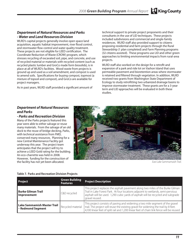#### *Department of Natural Resources and Parks - Water and Land Resources Division*

WLRD's capital projects generally involve open space land acquisition, aquatic habitat improvement, river flood control, and stormwater flow control and water quality treatment. These projects are not eligible for LEED certification. The Coordinate Reduction of Waste (CROW) program, which stresses recycling of excavated soil, pipe, and concrete, and use of recycled material or materials with recycled content (such as recycled plastic lumber and GroCo made form biosolids), is in place at all of WLRD's facilities. Wood waste from projects is ground up and used as a soil amendment, and compost is used to amend soils. Specifications for buying compost, topmost (a mixture of topsoil and compost), and GroCo are available for project managers.

As in past years, WLRD staff provided a significant amount of

technical support to private project proponents and their consultants in the use of LID techniques. These projects included subdivisions and commercial and single-family residences. WLRD staff also provided support to citizens proposing residential and farm projects through the Rural Stewardship (1 plan completed) and Farm Planning programs (32 citizens assisted). These programs use LID and other green approaches to limiting environmental impacts from rural-area projects.

WLRD staff also worked on the design for a retrofit and expansion of a park and ride lot on Vashon Island that uses permeable pavement and bioretention areas where stormwater is retained and filtered through vegetation. In addition, WLRD received two grants from Washington State Department of Ecology to study retrofitting two urbanized drainage basins to improve stormwater treatment. These grants are for a 3-year term and LID approaches will be evaluated in both these studies.

#### *Department of Natural Resources and Parks*

#### *- Parks and Recreation Division*

Many of the Parks projects featured this year were able to either salvage or reuse many materials. From the salvage of an old dock to the reuse of bridge decking, Parks, with technical assistance from FMD, conserved many resources. Planning for a new Central Maintenance Facility got underway this year. The project team anticipates that the project will try to achieve a LEED Gold rating for the building. An eco-charrette was held in 2008. However, funding for the construction of the facility has not yet been allocated.



East Lake Sammamaish Trail.

#### **Table 7. Parks and Recreation Division Projects**

| Project                                          | <b>Green Building</b><br><b>Features</b> | <b>Project Description</b>                                                                                                                                                                                                                                               |
|--------------------------------------------------|------------------------------------------|--------------------------------------------------------------------------------------------------------------------------------------------------------------------------------------------------------------------------------------------------------------------------|
| <b>Burke Gilman Trail</b><br>Improvement         | C&D recycled                             | This project replaces the asphalt pavement along two miles of the Burke Gilman<br>Trail in Lake Forest Park. At four locations adjacent to wetlands, semi-pervious<br>asphalt will be used. 1,290 cubic yards of asphalt will be recycled and subgrade<br>gravel reused. |
| Lake Sammamish Master Trail<br>- Redmond Segment | Recycled material                        | This project consists of paving and widening a two mile segment of the gravel<br>trail. The project will reuse the existing gravel for widening the trail by 8 feet.<br>4,100 linear feet of split rail and 1,200 linear feet of chain link fence will be reused.        |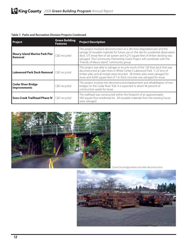#### **Table 7. Parks and Recreation Division Projects Continued**

| <b>Project</b>                                          | <b>Green Building</b><br><b>Features</b> | <b>Project Description</b>                                                                                                                                                                                                                                                                                                                                                           |
|---------------------------------------------------------|------------------------------------------|--------------------------------------------------------------------------------------------------------------------------------------------------------------------------------------------------------------------------------------------------------------------------------------------------------------------------------------------------------------------------------------|
| <b>Maury Island Marine Park Pier</b><br>Removal         | C&D recycled                             | This project involved deconstruction of a 285-foot dilapidated pier and the<br>salvage of reusable materials for future use on the site for a potential observation<br>deck. 575 linear feet of rail system and 4,275 square feet of timber decking was<br>salvaged. This Community Partnership Grant Project will coordinate with the<br>"Friends of Maury Island" community group. |
| Lakewood Park Dock Removal   C&D recycled               |                                          | This project was able to salvage or recycle much of the 130-foot dock that was<br>deconstructed at Lake Hicks in White Center's Lakewood Park. 11.23 tons of<br>timber piles and all metals were recycled. 28 timber piles were salvaged for<br>reuse and 4,000 square feet of 7-in thick concrete was salvaged for reuse.                                                           |
| <b>Cedar River Bridge</b><br><b>Improvements</b>        | C&D recycled                             | This project involves the deconstruction/replacement and rehabilitation of two<br>bridges on the Cedar River Trail. It is expected to divert 96 percent of<br>construction waste for reuse.                                                                                                                                                                                          |
| <b>Soos Creek Trailhead Phase IV   C&amp;D recycled</b> |                                          | The trailhead was constructed within the footprint of an approximately<br>500-square-foot residential lot. All reusable materials from the existing house<br>were salvaged.                                                                                                                                                                                                          |



Dorre Don bridge before and after deconstruction.

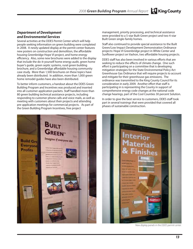King County 2008 *Green Building Program* Annual Report

#### *Department of Development and Environmental Services*

Several activities at the DDES Permit Center which will help people seeking information on green building were completed in 2008. A newly updated display at the permit center features new posters on construction and demolition, the affordable housing Greenbridge Hope VI project, and home energy efficiency. Also, some new brochures were added to the display that include the do-it-yourself home energy audit, green home buyer's guide, green septic systems, rural green building brochure, and a Greenbridge affordable housing community case study. More than 1,500 brochures on these topics have already been distributed. In addition, more than 1,000 green home remodel guides have also been distributed.

To better inform customers, a handout about the DDES Green Building Program and Incentives was produced and inserted into all customer application packets. Staff handled more than 80 green building technical assistance projects, including responding to customer phone calls and voice mails, as well as meeting with customers about their projects and attending pre-application meetings for commercial projects. As part of the Green Building Program Incentives, free project

management, priority processing, and technical assistance were provided to a 5-star Built Green project and two 4-star Built Green single-family homes.

Staff also continued to provide special assistance to the Built Green/Low Impact Development Demonstration Ordinance projects: Hope VI Greenbridge project in White Center and Sunflower project on Vashon, two affordable housing projects.

DDES staff has also been involved in various efforts that are seeking to reduce the effects of climate change. One such effort is participating on a committee that is developing mitigation strategies for the State Environmental Policy Act Greenhouse Gas Ordinance that will require projects to account and mitigate for their greenhouse gas emissions. The ordinance was transmitted to the King County Council for its consideration in early 2009. Another effort that staff is participating in is representing the County in support of comprehensive energy code changes at the national code change hearings, part of the Cool Counties 30 percent Solution.

In order to give the best service to customers, DDES staff took part in several trainings that were provided that covered all phases of sustainable construction.





New display panels in the DDES permit center.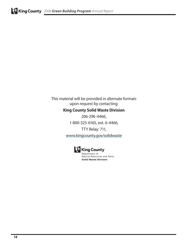This material will be provided in alternate formats upon request by contacting:

### **King County Solid Waste Division**

206-296-4466,

1-800-325-6165, ext. 6-4466,

TTY Relay: 711, www.kingcounty.gov/solidwaste